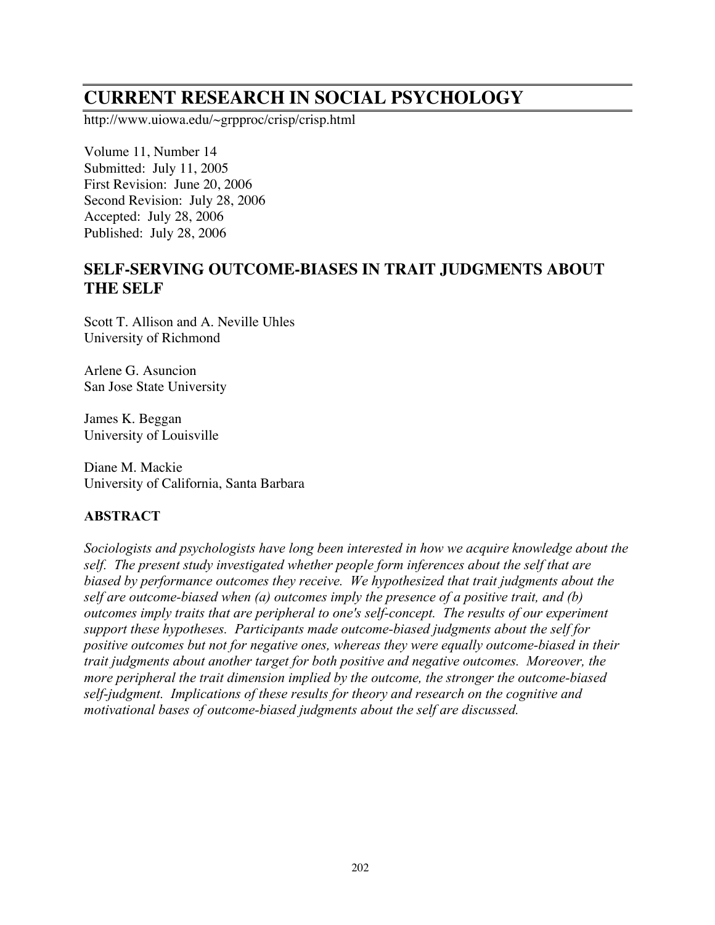# **CURRENT RESEARCH IN SOCIAL PSYCHOLOGY**

http://www.uiowa.edu/~grpproc/crisp/crisp.html

Volume 11, Number 14 Submitted: July 11, 2005 First Revision: June 20, 2006 Second Revision: July 28, 2006 Accepted: July 28, 2006 Published: July 28, 2006

# **SELF-SERVING OUTCOME-BIASES IN TRAIT JUDGMENTS ABOUT THE SELF**

Scott T. Allison and A. Neville Uhles University of Richmond

Arlene G. Asuncion San Jose State University

James K. Beggan University of Louisville

Diane M. Mackie University of California, Santa Barbara

### **ABSTRACT**

*Sociologists and psychologists have long been interested in how we acquire knowledge about the self. The present study investigated whether people form inferences about the self that are biased by performance outcomes they receive. We hypothesized that trait judgments about the self are outcome-biased when (a) outcomes imply the presence of a positive trait, and (b) outcomes imply traits that are peripheral to one's self-concept. The results of our experiment support these hypotheses. Participants made outcome-biased judgments about the self for positive outcomes but not for negative ones, whereas they were equally outcome-biased in their trait judgments about another target for both positive and negative outcomes. Moreover, the more peripheral the trait dimension implied by the outcome, the stronger the outcome-biased self-judgment. Implications of these results for theory and research on the cognitive and motivational bases of outcome-biased judgments about the self are discussed.*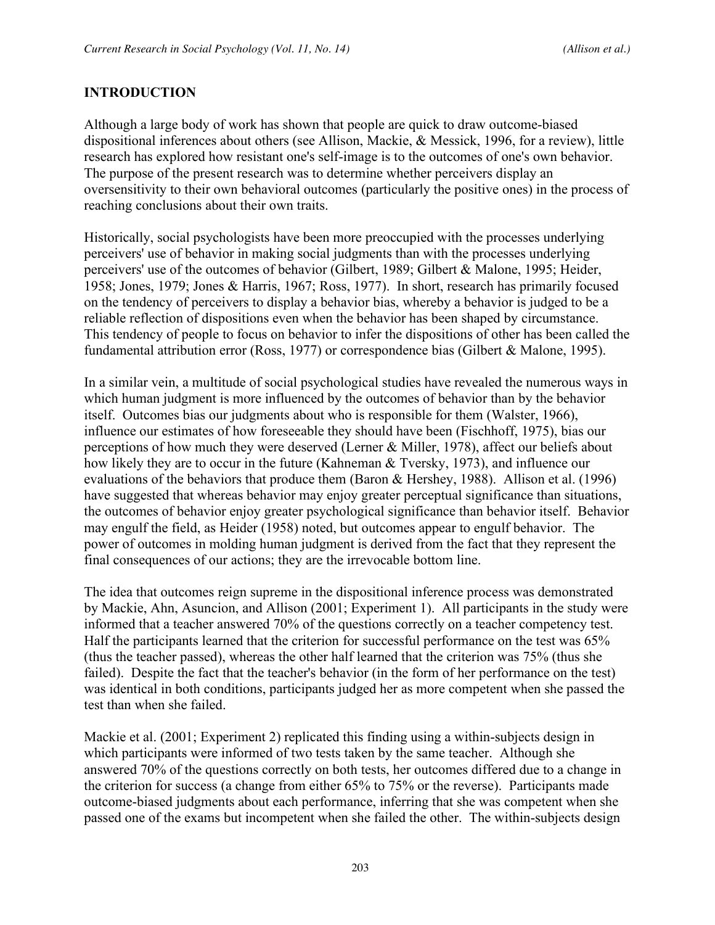### **INTRODUCTION**

Although a large body of work has shown that people are quick to draw outcome-biased dispositional inferences about others (see Allison, Mackie, & Messick, 1996, for a review), little research has explored how resistant one's self-image is to the outcomes of one's own behavior. The purpose of the present research was to determine whether perceivers display an oversensitivity to their own behavioral outcomes (particularly the positive ones) in the process of reaching conclusions about their own traits.

Historically, social psychologists have been more preoccupied with the processes underlying perceivers' use of behavior in making social judgments than with the processes underlying perceivers' use of the outcomes of behavior (Gilbert, 1989; Gilbert & Malone, 1995; Heider, 1958; Jones, 1979; Jones & Harris, 1967; Ross, 1977). In short, research has primarily focused on the tendency of perceivers to display a behavior bias, whereby a behavior is judged to be a reliable reflection of dispositions even when the behavior has been shaped by circumstance. This tendency of people to focus on behavior to infer the dispositions of other has been called the fundamental attribution error (Ross, 1977) or correspondence bias (Gilbert & Malone, 1995).

In a similar vein, a multitude of social psychological studies have revealed the numerous ways in which human judgment is more influenced by the outcomes of behavior than by the behavior itself. Outcomes bias our judgments about who is responsible for them (Walster, 1966), influence our estimates of how foreseeable they should have been (Fischhoff, 1975), bias our perceptions of how much they were deserved (Lerner & Miller, 1978), affect our beliefs about how likely they are to occur in the future (Kahneman & Tversky, 1973), and influence our evaluations of the behaviors that produce them (Baron & Hershey, 1988). Allison et al. (1996) have suggested that whereas behavior may enjoy greater perceptual significance than situations, the outcomes of behavior enjoy greater psychological significance than behavior itself. Behavior may engulf the field, as Heider (1958) noted, but outcomes appear to engulf behavior. The power of outcomes in molding human judgment is derived from the fact that they represent the final consequences of our actions; they are the irrevocable bottom line.

The idea that outcomes reign supreme in the dispositional inference process was demonstrated by Mackie, Ahn, Asuncion, and Allison (2001; Experiment 1). All participants in the study were informed that a teacher answered 70% of the questions correctly on a teacher competency test. Half the participants learned that the criterion for successful performance on the test was 65% (thus the teacher passed), whereas the other half learned that the criterion was 75% (thus she failed). Despite the fact that the teacher's behavior (in the form of her performance on the test) was identical in both conditions, participants judged her as more competent when she passed the test than when she failed.

Mackie et al. (2001; Experiment 2) replicated this finding using a within-subjects design in which participants were informed of two tests taken by the same teacher. Although she answered 70% of the questions correctly on both tests, her outcomes differed due to a change in the criterion for success (a change from either 65% to 75% or the reverse). Participants made outcome-biased judgments about each performance, inferring that she was competent when she passed one of the exams but incompetent when she failed the other. The within-subjects design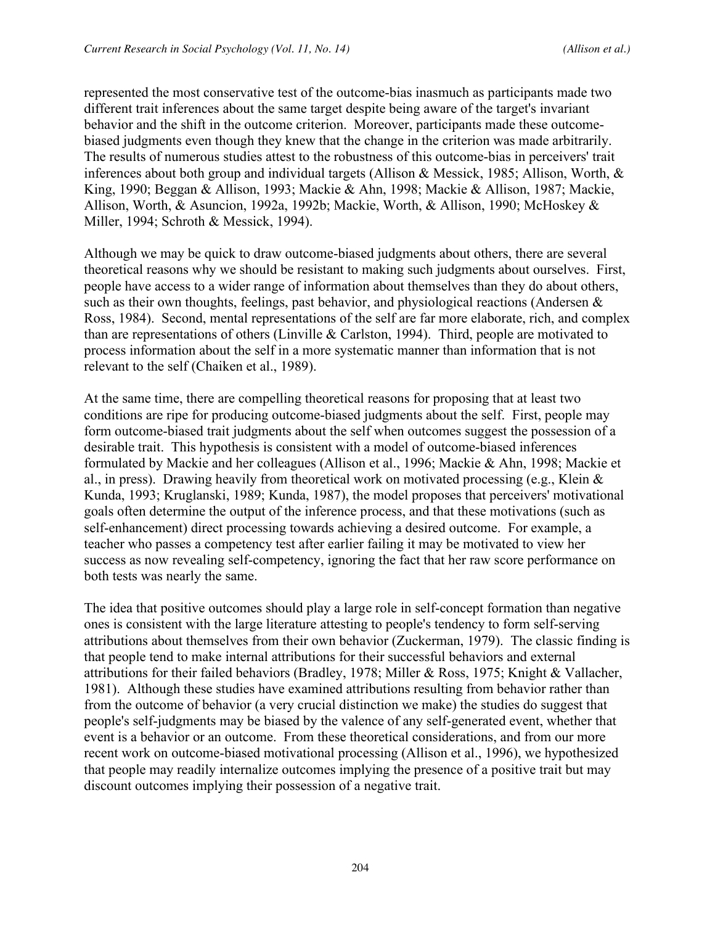represented the most conservative test of the outcome-bias inasmuch as participants made two different trait inferences about the same target despite being aware of the target's invariant behavior and the shift in the outcome criterion. Moreover, participants made these outcomebiased judgments even though they knew that the change in the criterion was made arbitrarily. The results of numerous studies attest to the robustness of this outcome-bias in perceivers' trait inferences about both group and individual targets (Allison & Messick, 1985; Allison, Worth, & King, 1990; Beggan & Allison, 1993; Mackie & Ahn, 1998; Mackie & Allison, 1987; Mackie, Allison, Worth, & Asuncion, 1992a, 1992b; Mackie, Worth, & Allison, 1990; McHoskey & Miller, 1994; Schroth & Messick, 1994).

Although we may be quick to draw outcome-biased judgments about others, there are several theoretical reasons why we should be resistant to making such judgments about ourselves. First, people have access to a wider range of information about themselves than they do about others, such as their own thoughts, feelings, past behavior, and physiological reactions (Andersen  $\&$ Ross, 1984). Second, mental representations of the self are far more elaborate, rich, and complex than are representations of others (Linville & Carlston, 1994). Third, people are motivated to process information about the self in a more systematic manner than information that is not relevant to the self (Chaiken et al., 1989).

At the same time, there are compelling theoretical reasons for proposing that at least two conditions are ripe for producing outcome-biased judgments about the self. First, people may form outcome-biased trait judgments about the self when outcomes suggest the possession of a desirable trait. This hypothesis is consistent with a model of outcome-biased inferences formulated by Mackie and her colleagues (Allison et al., 1996; Mackie & Ahn, 1998; Mackie et al., in press). Drawing heavily from theoretical work on motivated processing (e.g., Klein & Kunda, 1993; Kruglanski, 1989; Kunda, 1987), the model proposes that perceivers' motivational goals often determine the output of the inference process, and that these motivations (such as self-enhancement) direct processing towards achieving a desired outcome. For example, a teacher who passes a competency test after earlier failing it may be motivated to view her success as now revealing self-competency, ignoring the fact that her raw score performance on both tests was nearly the same.

The idea that positive outcomes should play a large role in self-concept formation than negative ones is consistent with the large literature attesting to people's tendency to form self-serving attributions about themselves from their own behavior (Zuckerman, 1979). The classic finding is that people tend to make internal attributions for their successful behaviors and external attributions for their failed behaviors (Bradley, 1978; Miller & Ross, 1975; Knight & Vallacher, 1981). Although these studies have examined attributions resulting from behavior rather than from the outcome of behavior (a very crucial distinction we make) the studies do suggest that people's self-judgments may be biased by the valence of any self-generated event, whether that event is a behavior or an outcome. From these theoretical considerations, and from our more recent work on outcome-biased motivational processing (Allison et al., 1996), we hypothesized that people may readily internalize outcomes implying the presence of a positive trait but may discount outcomes implying their possession of a negative trait.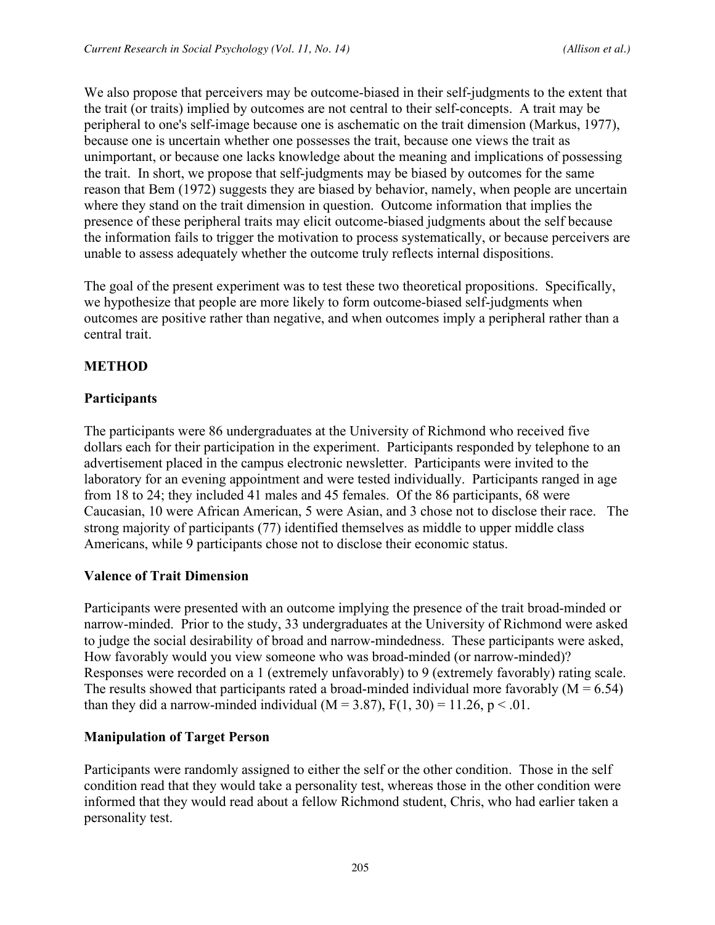We also propose that perceivers may be outcome-biased in their self-judgments to the extent that the trait (or traits) implied by outcomes are not central to their self-concepts. A trait may be peripheral to one's self-image because one is aschematic on the trait dimension (Markus, 1977), because one is uncertain whether one possesses the trait, because one views the trait as unimportant, or because one lacks knowledge about the meaning and implications of possessing the trait. In short, we propose that self-judgments may be biased by outcomes for the same reason that Bem (1972) suggests they are biased by behavior, namely, when people are uncertain where they stand on the trait dimension in question. Outcome information that implies the presence of these peripheral traits may elicit outcome-biased judgments about the self because the information fails to trigger the motivation to process systematically, or because perceivers are unable to assess adequately whether the outcome truly reflects internal dispositions.

The goal of the present experiment was to test these two theoretical propositions. Specifically, we hypothesize that people are more likely to form outcome-biased self-judgments when outcomes are positive rather than negative, and when outcomes imply a peripheral rather than a central trait.

# **METHOD**

# **Participants**

The participants were 86 undergraduates at the University of Richmond who received five dollars each for their participation in the experiment. Participants responded by telephone to an advertisement placed in the campus electronic newsletter. Participants were invited to the laboratory for an evening appointment and were tested individually. Participants ranged in age from 18 to 24; they included 41 males and 45 females. Of the 86 participants, 68 were Caucasian, 10 were African American, 5 were Asian, and 3 chose not to disclose their race. The strong majority of participants (77) identified themselves as middle to upper middle class Americans, while 9 participants chose not to disclose their economic status.

# **Valence of Trait Dimension**

Participants were presented with an outcome implying the presence of the trait broad-minded or narrow-minded. Prior to the study, 33 undergraduates at the University of Richmond were asked to judge the social desirability of broad and narrow-mindedness. These participants were asked, How favorably would you view someone who was broad-minded (or narrow-minded)? Responses were recorded on a 1 (extremely unfavorably) to 9 (extremely favorably) rating scale. The results showed that participants rated a broad-minded individual more favorably  $(M = 6.54)$ than they did a narrow-minded individual ( $M = 3.87$ ),  $F(1, 30) = 11.26$ ,  $p < .01$ .

# **Manipulation of Target Person**

Participants were randomly assigned to either the self or the other condition. Those in the self condition read that they would take a personality test, whereas those in the other condition were informed that they would read about a fellow Richmond student, Chris, who had earlier taken a personality test.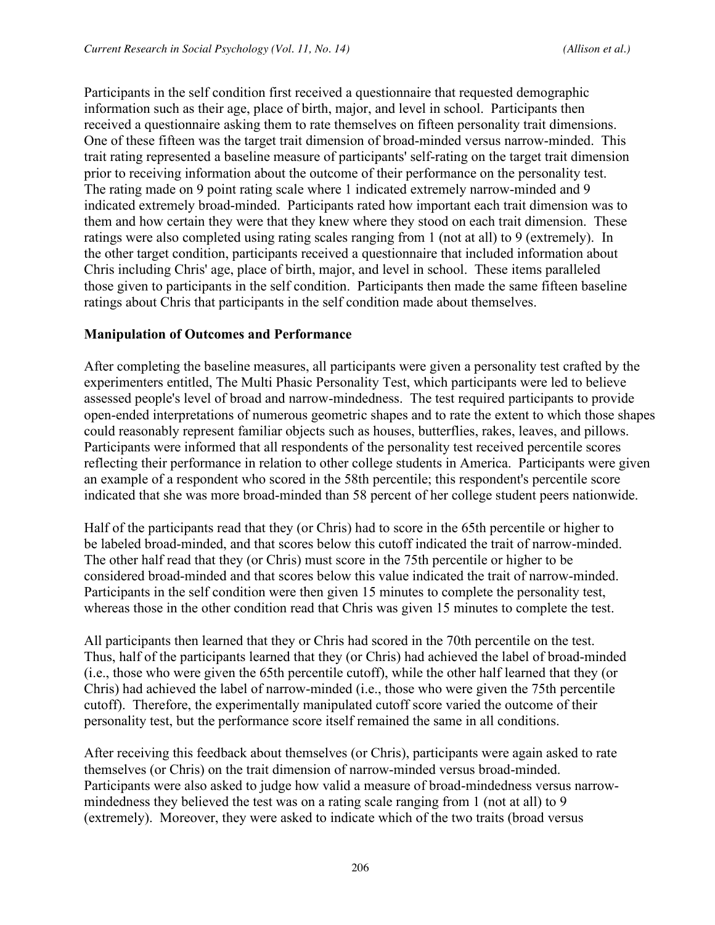Participants in the self condition first received a questionnaire that requested demographic information such as their age, place of birth, major, and level in school. Participants then received a questionnaire asking them to rate themselves on fifteen personality trait dimensions. One of these fifteen was the target trait dimension of broad-minded versus narrow-minded. This trait rating represented a baseline measure of participants' self-rating on the target trait dimension prior to receiving information about the outcome of their performance on the personality test. The rating made on 9 point rating scale where 1 indicated extremely narrow-minded and 9 indicated extremely broad-minded. Participants rated how important each trait dimension was to them and how certain they were that they knew where they stood on each trait dimension. These ratings were also completed using rating scales ranging from 1 (not at all) to 9 (extremely). In the other target condition, participants received a questionnaire that included information about Chris including Chris' age, place of birth, major, and level in school. These items paralleled those given to participants in the self condition. Participants then made the same fifteen baseline ratings about Chris that participants in the self condition made about themselves.

#### **Manipulation of Outcomes and Performance**

After completing the baseline measures, all participants were given a personality test crafted by the experimenters entitled, The Multi Phasic Personality Test, which participants were led to believe assessed people's level of broad and narrow-mindedness. The test required participants to provide open-ended interpretations of numerous geometric shapes and to rate the extent to which those shapes could reasonably represent familiar objects such as houses, butterflies, rakes, leaves, and pillows. Participants were informed that all respondents of the personality test received percentile scores reflecting their performance in relation to other college students in America. Participants were given an example of a respondent who scored in the 58th percentile; this respondent's percentile score indicated that she was more broad-minded than 58 percent of her college student peers nationwide.

Half of the participants read that they (or Chris) had to score in the 65th percentile or higher to be labeled broad-minded, and that scores below this cutoff indicated the trait of narrow-minded. The other half read that they (or Chris) must score in the 75th percentile or higher to be considered broad-minded and that scores below this value indicated the trait of narrow-minded. Participants in the self condition were then given 15 minutes to complete the personality test, whereas those in the other condition read that Chris was given 15 minutes to complete the test.

All participants then learned that they or Chris had scored in the 70th percentile on the test. Thus, half of the participants learned that they (or Chris) had achieved the label of broad-minded (i.e., those who were given the 65th percentile cutoff), while the other half learned that they (or Chris) had achieved the label of narrow-minded (i.e., those who were given the 75th percentile cutoff). Therefore, the experimentally manipulated cutoff score varied the outcome of their personality test, but the performance score itself remained the same in all conditions.

After receiving this feedback about themselves (or Chris), participants were again asked to rate themselves (or Chris) on the trait dimension of narrow-minded versus broad-minded. Participants were also asked to judge how valid a measure of broad-mindedness versus narrowmindedness they believed the test was on a rating scale ranging from 1 (not at all) to 9 (extremely). Moreover, they were asked to indicate which of the two traits (broad versus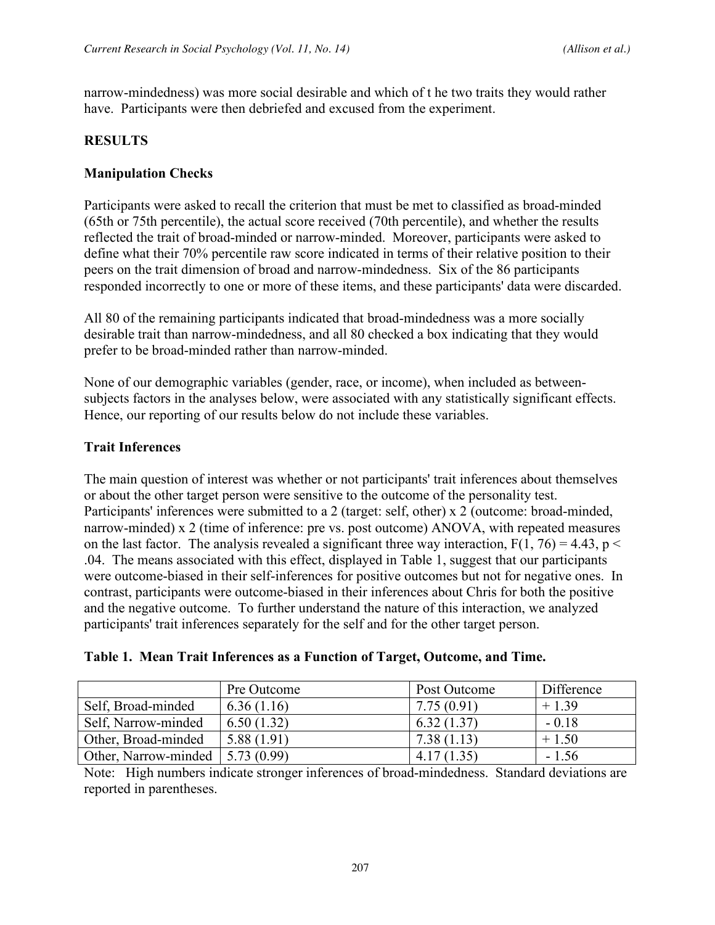narrow-mindedness) was more social desirable and which of t he two traits they would rather have. Participants were then debriefed and excused from the experiment.

#### **RESULTS**

#### **Manipulation Checks**

Participants were asked to recall the criterion that must be met to classified as broad-minded (65th or 75th percentile), the actual score received (70th percentile), and whether the results reflected the trait of broad-minded or narrow-minded. Moreover, participants were asked to define what their 70% percentile raw score indicated in terms of their relative position to their peers on the trait dimension of broad and narrow-mindedness. Six of the 86 participants responded incorrectly to one or more of these items, and these participants' data were discarded.

All 80 of the remaining participants indicated that broad-mindedness was a more socially desirable trait than narrow-mindedness, and all 80 checked a box indicating that they would prefer to be broad-minded rather than narrow-minded.

None of our demographic variables (gender, race, or income), when included as betweensubjects factors in the analyses below, were associated with any statistically significant effects. Hence, our reporting of our results below do not include these variables.

#### **Trait Inferences**

The main question of interest was whether or not participants' trait inferences about themselves or about the other target person were sensitive to the outcome of the personality test. Participants' inferences were submitted to a 2 (target: self, other) x 2 (outcome: broad-minded, narrow-minded) x 2 (time of inference: pre vs. post outcome) ANOVA, with repeated measures on the last factor. The analysis revealed a significant three way interaction,  $F(1, 76) = 4.43$ ,  $p <$ .04. The means associated with this effect, displayed in Table 1, suggest that our participants were outcome-biased in their self-inferences for positive outcomes but not for negative ones. In contrast, participants were outcome-biased in their inferences about Chris for both the positive and the negative outcome. To further understand the nature of this interaction, we analyzed participants' trait inferences separately for the self and for the other target person.

| Table 1. Mean Trait Inferences as a Function of Target, Outcome, and Time. |
|----------------------------------------------------------------------------|
|----------------------------------------------------------------------------|

|                      | Pre Outcome              | Post Outcome | Difference |
|----------------------|--------------------------|--------------|------------|
| Self, Broad-minded   | 6.36(1.16)               | 7.75(0.91)   | $+1.39$    |
| Self, Narrow-minded  | 6.50(1.32)               | 6.32(1.37)   | $-0.18$    |
| Other, Broad-minded  | 5.88(1.91)               | 7.38(1.13)   | $+1.50$    |
| Other, Narrow-minded | $\vert 5.73(0.99) \vert$ | 4.17(1.35)   | $-1.56$    |

Note: High numbers indicate stronger inferences of broad-mindedness. Standard deviations are reported in parentheses.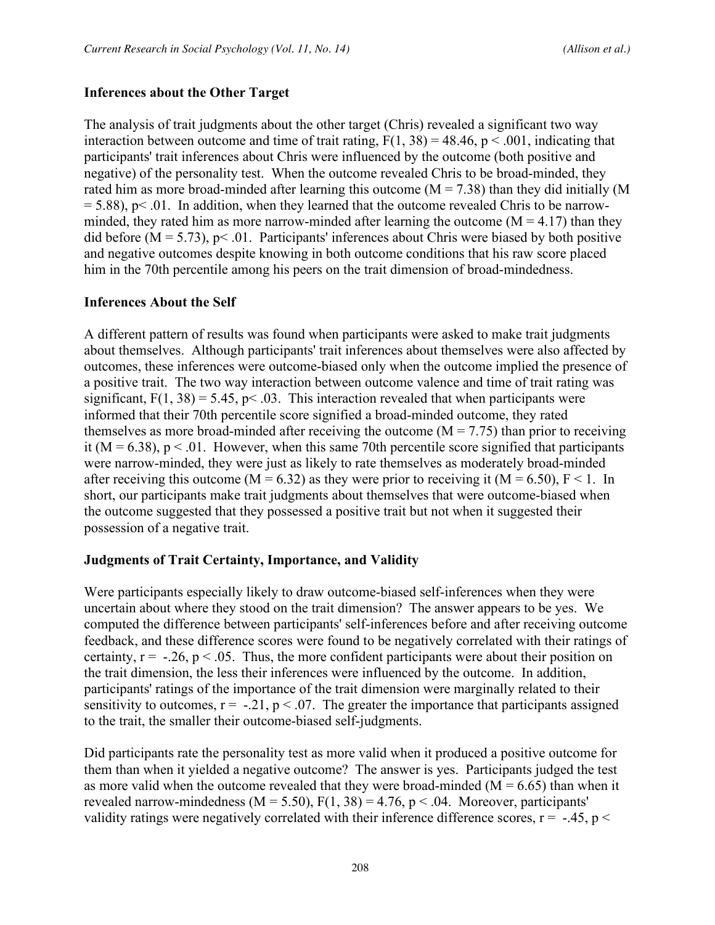#### **Inferences about the Other Target**

The analysis of trait judgments about the other target (Chris) revealed a significant two way interaction between outcome and time of trait rating,  $F(1, 38) = 48.46$ ,  $p < .001$ , indicating that participants' trait inferences about Chris were influenced by the outcome (both positive and negative) of the personality test. When the outcome revealed Chris to be broad-minded, they rated him as more broad-minded after learning this outcome  $(M = 7.38)$  than they did initially  $(M)$  $= 5.88$ ), p $\leq$  01. In addition, when they learned that the outcome revealed Chris to be narrowminded, they rated him as more narrow-minded after learning the outcome  $(M = 4.17)$  than they did before  $(M = 5.73)$ ,  $p < .01$ . Participants' inferences about Chris were biased by both positive and negative outcomes despite knowing in both outcome conditions that his raw score placed him in the 70th percentile among his peers on the trait dimension of broad-mindedness.

#### **Inferences About the Self**

A different pattern of results was found when participants were asked to make trait judgments about themselves. Although participants' trait inferences about themselves were also affected by outcomes, these inferences were outcome-biased only when the outcome implied the presence of a positive trait. The two way interaction between outcome valence and time of trait rating was significant,  $F(1, 38) = 5.45$ ,  $p < .03$ . This interaction revealed that when participants were informed that their 70th percentile score signified a broad-minded outcome, they rated themselves as more broad-minded after receiving the outcome  $(M = 7.75)$  than prior to receiving it ( $M = 6.38$ ),  $p < 0.01$ . However, when this same 70th percentile score signified that participants were narrow-minded, they were just as likely to rate themselves as moderately broad-minded after receiving this outcome (M = 6.32) as they were prior to receiving it (M = 6.50), F < 1. In short, our participants make trait judgments about themselves that were outcome-biased when the outcome suggested that they possessed a positive trait but not when it suggested their possession of a negative trait.

#### **Judgments of Trait Certainty, Importance, and Validity**

Were participants especially likely to draw outcome-biased self-inferences when they were uncertain about where they stood on the trait dimension? The answer appears to be yes. We computed the difference between participants' self-inferences before and after receiving outcome feedback, and these difference scores were found to be negatively correlated with their ratings of certainty,  $r = -0.26$ ,  $p < 0.05$ . Thus, the more confident participants were about their position on the trait dimension, the less their inferences were influenced by the outcome. In addition, participants' ratings of the importance of the trait dimension were marginally related to their sensitivity to outcomes,  $r = -.21$ ,  $p < .07$ . The greater the importance that participants assigned to the trait, the smaller their outcome-biased self-judgments.

Did participants rate the personality test as more valid when it produced a positive outcome for them than when it yielded a negative outcome? The answer is yes. Participants judged the test as more valid when the outcome revealed that they were broad-minded ( $M = 6.65$ ) than when it revealed narrow-mindedness ( $M = 5.50$ ),  $F(1, 38) = 4.76$ ,  $p < .04$ . Moreover, participants' validity ratings were negatively correlated with their inference difference scores,  $r = -.45$ ,  $p <$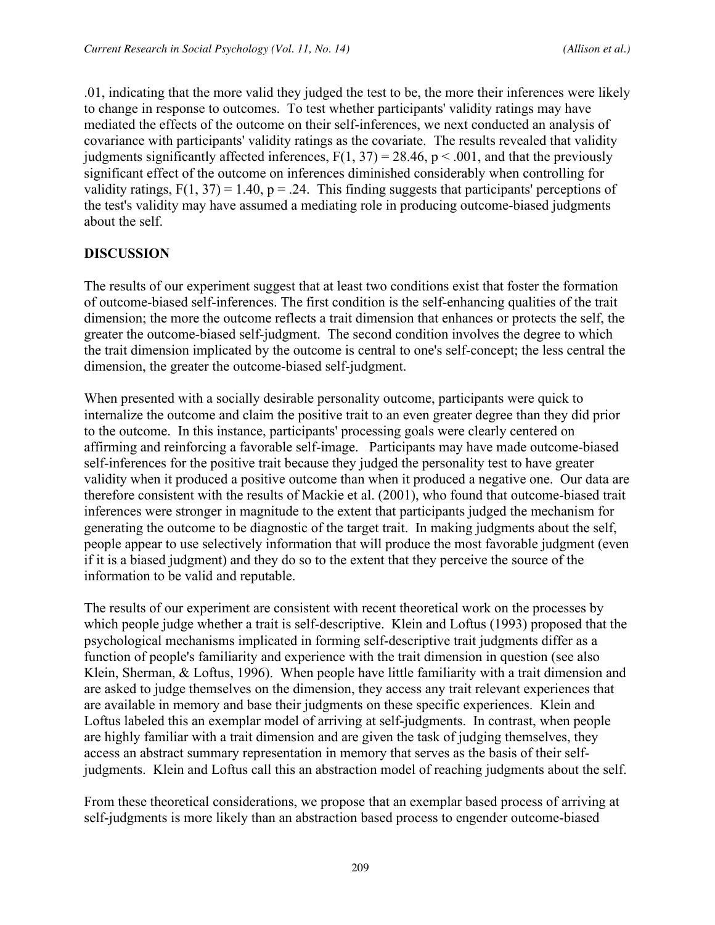.01, indicating that the more valid they judged the test to be, the more their inferences were likely to change in response to outcomes. To test whether participants' validity ratings may have mediated the effects of the outcome on their self-inferences, we next conducted an analysis of covariance with participants' validity ratings as the covariate. The results revealed that validity judgments significantly affected inferences,  $F(1, 37) = 28.46$ ,  $p < .001$ , and that the previously significant effect of the outcome on inferences diminished considerably when controlling for validity ratings,  $F(1, 37) = 1.40$ ,  $p = 0.24$ . This finding suggests that participants' perceptions of the test's validity may have assumed a mediating role in producing outcome-biased judgments about the self.

### **DISCUSSION**

The results of our experiment suggest that at least two conditions exist that foster the formation of outcome-biased self-inferences. The first condition is the self-enhancing qualities of the trait dimension; the more the outcome reflects a trait dimension that enhances or protects the self, the greater the outcome-biased self-judgment. The second condition involves the degree to which the trait dimension implicated by the outcome is central to one's self-concept; the less central the dimension, the greater the outcome-biased self-judgment.

When presented with a socially desirable personality outcome, participants were quick to internalize the outcome and claim the positive trait to an even greater degree than they did prior to the outcome. In this instance, participants' processing goals were clearly centered on affirming and reinforcing a favorable self-image. Participants may have made outcome-biased self-inferences for the positive trait because they judged the personality test to have greater validity when it produced a positive outcome than when it produced a negative one. Our data are therefore consistent with the results of Mackie et al. (2001), who found that outcome-biased trait inferences were stronger in magnitude to the extent that participants judged the mechanism for generating the outcome to be diagnostic of the target trait. In making judgments about the self, people appear to use selectively information that will produce the most favorable judgment (even if it is a biased judgment) and they do so to the extent that they perceive the source of the information to be valid and reputable.

The results of our experiment are consistent with recent theoretical work on the processes by which people judge whether a trait is self-descriptive. Klein and Loftus (1993) proposed that the psychological mechanisms implicated in forming self-descriptive trait judgments differ as a function of people's familiarity and experience with the trait dimension in question (see also Klein, Sherman, & Loftus, 1996). When people have little familiarity with a trait dimension and are asked to judge themselves on the dimension, they access any trait relevant experiences that are available in memory and base their judgments on these specific experiences. Klein and Loftus labeled this an exemplar model of arriving at self-judgments. In contrast, when people are highly familiar with a trait dimension and are given the task of judging themselves, they access an abstract summary representation in memory that serves as the basis of their selfjudgments. Klein and Loftus call this an abstraction model of reaching judgments about the self.

From these theoretical considerations, we propose that an exemplar based process of arriving at self-judgments is more likely than an abstraction based process to engender outcome-biased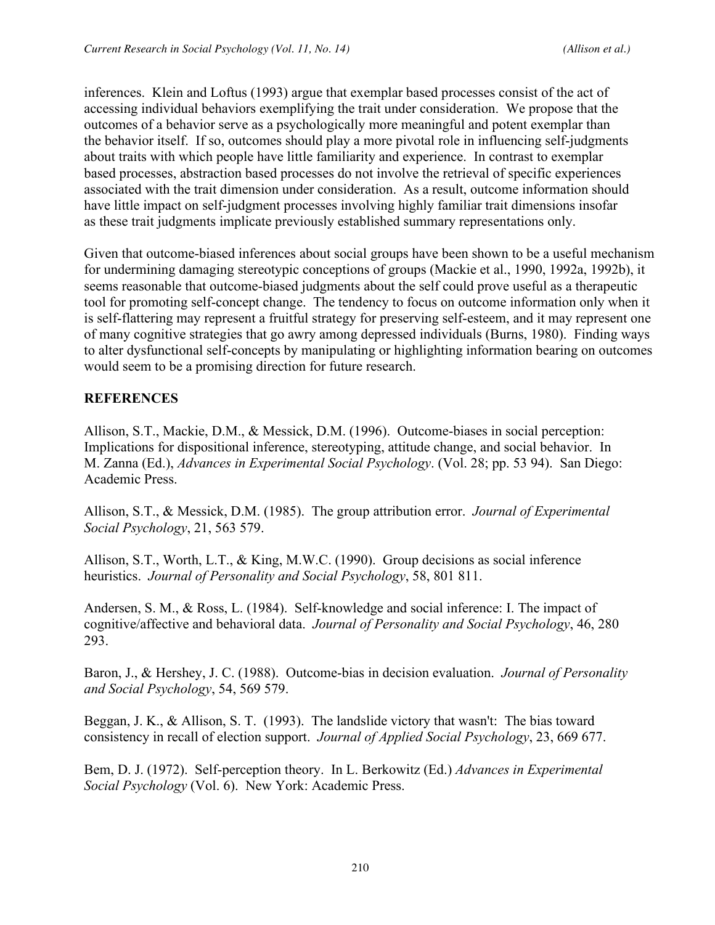inferences. Klein and Loftus (1993) argue that exemplar based processes consist of the act of accessing individual behaviors exemplifying the trait under consideration. We propose that the outcomes of a behavior serve as a psychologically more meaningful and potent exemplar than the behavior itself. If so, outcomes should play a more pivotal role in influencing self-judgments about traits with which people have little familiarity and experience. In contrast to exemplar based processes, abstraction based processes do not involve the retrieval of specific experiences associated with the trait dimension under consideration. As a result, outcome information should have little impact on self-judgment processes involving highly familiar trait dimensions insofar as these trait judgments implicate previously established summary representations only.

Given that outcome-biased inferences about social groups have been shown to be a useful mechanism for undermining damaging stereotypic conceptions of groups (Mackie et al., 1990, 1992a, 1992b), it seems reasonable that outcome-biased judgments about the self could prove useful as a therapeutic tool for promoting self-concept change. The tendency to focus on outcome information only when it is self-flattering may represent a fruitful strategy for preserving self-esteem, and it may represent one of many cognitive strategies that go awry among depressed individuals (Burns, 1980). Finding ways to alter dysfunctional self-concepts by manipulating or highlighting information bearing on outcomes would seem to be a promising direction for future research.

# **REFERENCES**

Allison, S.T., Mackie, D.M., & Messick, D.M. (1996). Outcome-biases in social perception: Implications for dispositional inference, stereotyping, attitude change, and social behavior. In M. Zanna (Ed.), *Advances in Experimental Social Psychology*. (Vol. 28; pp. 53 94). San Diego: Academic Press.

Allison, S.T., & Messick, D.M. (1985). The group attribution error. *Journal of Experimental Social Psychology*, 21, 563 579.

Allison, S.T., Worth, L.T., & King, M.W.C. (1990). Group decisions as social inference heuristics. *Journal of Personality and Social Psychology*, 58, 801 811.

Andersen, S. M., & Ross, L. (1984). Self-knowledge and social inference: I. The impact of cognitive/affective and behavioral data. *Journal of Personality and Social Psychology*, 46, 280 293.

Baron, J., & Hershey, J. C. (1988). Outcome-bias in decision evaluation. *Journal of Personality and Social Psychology*, 54, 569 579.

Beggan, J. K., & Allison, S. T. (1993). The landslide victory that wasn't: The bias toward consistency in recall of election support. *Journal of Applied Social Psychology*, 23, 669 677.

Bem, D. J. (1972). Self-perception theory. In L. Berkowitz (Ed.) *Advances in Experimental Social Psychology* (Vol. 6). New York: Academic Press.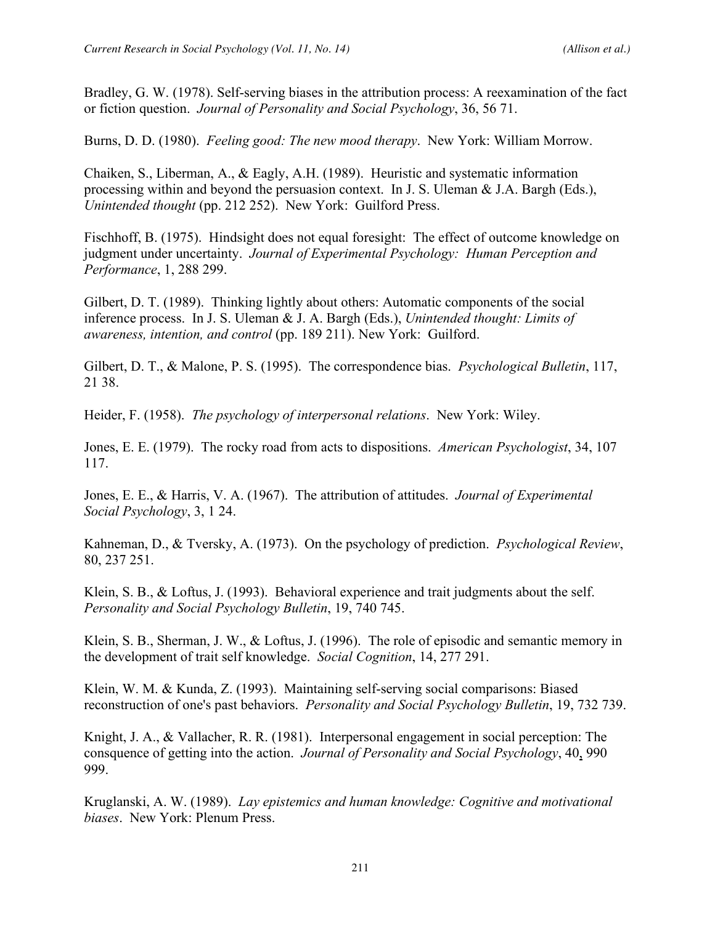Bradley, G. W. (1978). Self-serving biases in the attribution process: A reexamination of the fact or fiction question. *Journal of Personality and Social Psychology*, 36, 56 71.

Burns, D. D. (1980). *Feeling good: The new mood therapy*. New York: William Morrow.

Chaiken, S., Liberman, A., & Eagly, A.H. (1989). Heuristic and systematic information processing within and beyond the persuasion context. In J. S. Uleman & J.A. Bargh (Eds.), *Unintended thought* (pp. 212 252). New York: Guilford Press.

Fischhoff, B. (1975). Hindsight does not equal foresight: The effect of outcome knowledge on judgment under uncertainty. *Journal of Experimental Psychology: Human Perception and Performance*, 1, 288 299.

Gilbert, D. T. (1989). Thinking lightly about others: Automatic components of the social inference process. In J. S. Uleman & J. A. Bargh (Eds.), *Unintended thought: Limits of awareness, intention, and control* (pp. 189 211). New York: Guilford.

Gilbert, D. T., & Malone, P. S. (1995). The correspondence bias. *Psychological Bulletin*, 117, 21 38.

Heider, F. (1958). *The psychology of interpersonal relations*. New York: Wiley.

Jones, E. E. (1979). The rocky road from acts to dispositions. *American Psychologist*, 34, 107 117.

Jones, E. E., & Harris, V. A. (1967). The attribution of attitudes. *Journal of Experimental Social Psychology*, 3, 1 24.

Kahneman, D., & Tversky, A. (1973). On the psychology of prediction. *Psychological Review*, 80, 237 251.

Klein, S. B., & Loftus, J. (1993). Behavioral experience and trait judgments about the self. *Personality and Social Psychology Bulletin*, 19, 740 745.

Klein, S. B., Sherman, J. W., & Loftus, J. (1996). The role of episodic and semantic memory in the development of trait self knowledge. *Social Cognition*, 14, 277 291.

Klein, W. M. & Kunda, Z. (1993). Maintaining self-serving social comparisons: Biased reconstruction of one's past behaviors. *Personality and Social Psychology Bulletin*, 19, 732 739.

Knight, J. A., & Vallacher, R. R. (1981). Interpersonal engagement in social perception: The consquence of getting into the action. *Journal of Personality and Social Psychology*, 40, 990 999.

Kruglanski, A. W. (1989). *Lay epistemics and human knowledge: Cognitive and motivational biases*. New York: Plenum Press.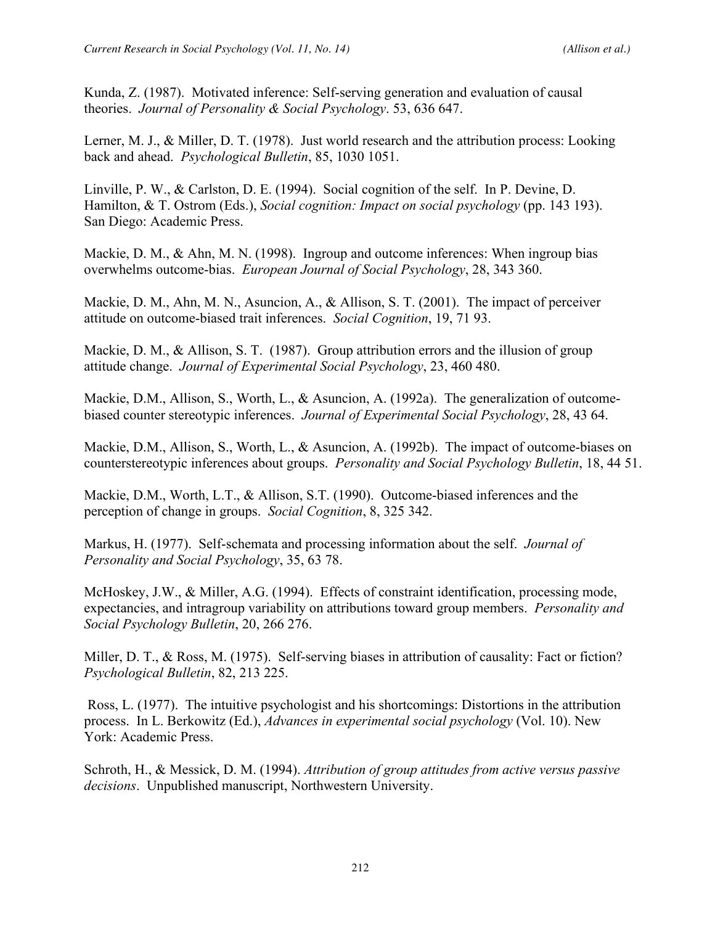Kunda, Z. (1987). Motivated inference: Self-serving generation and evaluation of causal theories. *Journal of Personality & Social Psychology*. 53, 636 647.

Lerner, M. J., & Miller, D. T. (1978). Just world research and the attribution process: Looking back and ahead. *Psychological Bulletin*, 85, 1030 1051.

Linville, P. W., & Carlston, D. E. (1994). Social cognition of the self. In P. Devine, D. Hamilton, & T. Ostrom (Eds.), *Social cognition: Impact on social psychology* (pp. 143 193). San Diego: Academic Press.

Mackie, D. M., & Ahn, M. N. (1998). Ingroup and outcome inferences: When ingroup bias overwhelms outcome-bias. *European Journal of Social Psychology*, 28, 343 360.

Mackie, D. M., Ahn, M. N., Asuncion, A., & Allison, S. T. (2001). The impact of perceiver attitude on outcome-biased trait inferences. *Social Cognition*, 19, 71 93.

Mackie, D. M., & Allison, S. T. (1987). Group attribution errors and the illusion of group attitude change. *Journal of Experimental Social Psychology*, 23, 460 480.

Mackie, D.M., Allison, S., Worth, L., & Asuncion, A. (1992a). The generalization of outcomebiased counter stereotypic inferences. *Journal of Experimental Social Psychology*, 28, 43 64.

Mackie, D.M., Allison, S., Worth, L., & Asuncion, A. (1992b). The impact of outcome-biases on counterstereotypic inferences about groups. *Personality and Social Psychology Bulletin*, 18, 44 51.

Mackie, D.M., Worth, L.T., & Allison, S.T. (1990). Outcome-biased inferences and the perception of change in groups. *Social Cognition*, 8, 325 342.

Markus, H. (1977). Self-schemata and processing information about the self. *Journal of Personality and Social Psychology*, 35, 63 78.

McHoskey, J.W., & Miller, A.G. (1994). Effects of constraint identification, processing mode, expectancies, and intragroup variability on attributions toward group members. *Personality and Social Psychology Bulletin*, 20, 266 276.

Miller, D. T., & Ross, M. (1975). Self-serving biases in attribution of causality: Fact or fiction? *Psychological Bulletin*, 82, 213 225.

 Ross, L. (1977). The intuitive psychologist and his shortcomings: Distortions in the attribution process. In L. Berkowitz (Ed.), *Advances in experimental social psychology* (Vol. 10). New York: Academic Press.

Schroth, H., & Messick, D. M. (1994). *Attribution of group attitudes from active versus passive decisions*. Unpublished manuscript, Northwestern University.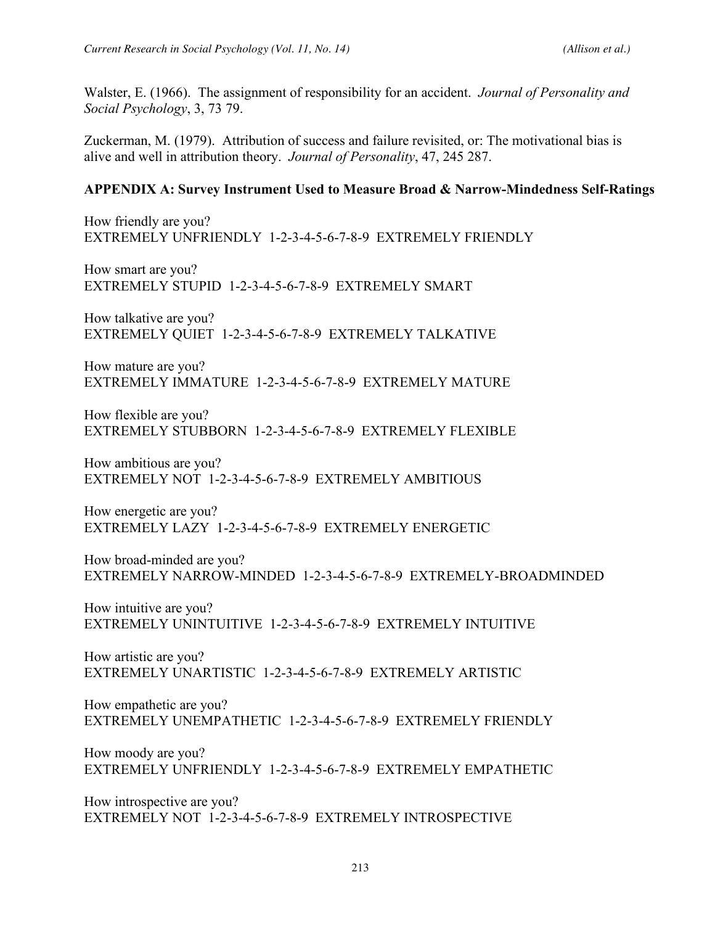Walster, E. (1966). The assignment of responsibility for an accident. *Journal of Personality and Social Psychology*, 3, 73 79.

Zuckerman, M. (1979). Attribution of success and failure revisited, or: The motivational bias is alive and well in attribution theory. *Journal of Personality*, 47, 245 287.

### **APPENDIX A: Survey Instrument Used to Measure Broad & Narrow-Mindedness Self-Ratings**

How friendly are you? EXTREMELY UNFRIENDLY 1-2-3-4-5-6-7-8-9 EXTREMELY FRIENDLY

How smart are you? EXTREMELY STUPID 1-2-3-4-5-6-7-8-9 EXTREMELY SMART

How talkative are you? EXTREMELY QUIET 1-2-3-4-5-6-7-8-9 EXTREMELY TALKATIVE

How mature are you? EXTREMELY IMMATURE 1-2-3-4-5-6-7-8-9 EXTREMELY MATURE

How flexible are you? EXTREMELY STUBBORN 1-2-3-4-5-6-7-8-9 EXTREMELY FLEXIBLE

How ambitious are you? EXTREMELY NOT 1-2-3-4-5-6-7-8-9 EXTREMELY AMBITIOUS

How energetic are you? EXTREMELY LAZY 1-2-3-4-5-6-7-8-9 EXTREMELY ENERGETIC

How broad-minded are you? EXTREMELY NARROW-MINDED 1-2-3-4-5-6-7-8-9 EXTREMELY-BROADMINDED

How intuitive are you? EXTREMELY UNINTUITIVE 1-2-3-4-5-6-7-8-9 EXTREMELY INTUITIVE

How artistic are you? EXTREMELY UNARTISTIC 1-2-3-4-5-6-7-8-9 EXTREMELY ARTISTIC

How empathetic are you? EXTREMELY UNEMPATHETIC 1-2-3-4-5-6-7-8-9 EXTREMELY FRIENDLY

How moody are you? EXTREMELY UNFRIENDLY 1-2-3-4-5-6-7-8-9 EXTREMELY EMPATHETIC

How introspective are you? EXTREMELY NOT 1-2-3-4-5-6-7-8-9 EXTREMELY INTROSPECTIVE